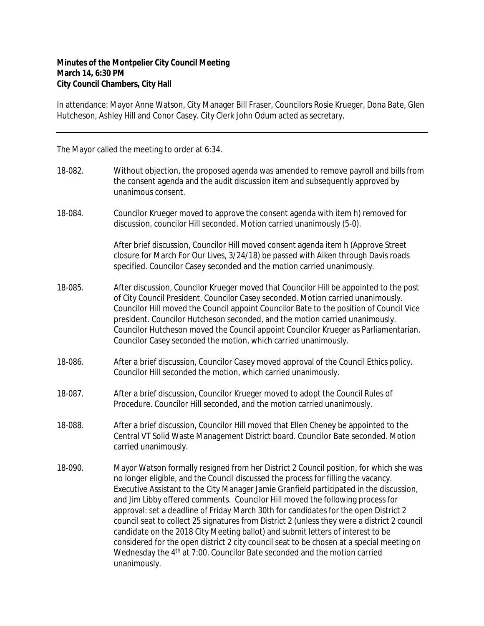## **Minutes of the Montpelier City Council Meeting March 14, 6:30 PM City Council Chambers, City Hall**

In attendance: Mayor Anne Watson, City Manager Bill Fraser, Councilors Rosie Krueger, Dona Bate, Glen Hutcheson, Ashley Hill and Conor Casey. City Clerk John Odum acted as secretary.

The Mayor called the meeting to order at 6:34.

- 18-082. Without objection, the proposed agenda was amended to remove payroll and bills from the consent agenda and the audit discussion item and subsequently approved by unanimous consent.
- 18-084. Councilor Krueger moved to approve the consent agenda with item h) removed for discussion, councilor Hill seconded. Motion carried unanimously (5-0).

After brief discussion, Councilor Hill moved consent agenda item h (Approve Street closure for March For Our Lives, 3/24/18) be passed with Aiken through Davis roads specified. Councilor Casey seconded and the motion carried unanimously.

- 18-085. After discussion, Councilor Krueger moved that Councilor Hill be appointed to the post of City Council President. Councilor Casey seconded. Motion carried unanimously. Councilor Hill moved the Council appoint Councilor Bate to the position of Council Vice president. Councilor Hutcheson seconded, and the motion carried unanimously. Councilor Hutcheson moved the Council appoint Councilor Krueger as Parliamentarian. Councilor Casey seconded the motion, which carried unanimously.
- 18-086. After a brief discussion, Councilor Casey moved approval of the Council Ethics policy. Councilor Hill seconded the motion, which carried unanimously.
- 18-087. After a brief discussion, Councilor Krueger moved to adopt the Council Rules of Procedure. Councilor Hill seconded, and the motion carried unanimously.
- 18-088. After a brief discussion, Councilor Hill moved that Ellen Cheney be appointed to the Central VT Solid Waste Management District board. Councilor Bate seconded. Motion carried unanimously.
- 18-090. Mayor Watson formally resigned from her District 2 Council position, for which she was no longer eligible, and the Council discussed the process for filling the vacancy. Executive Assistant to the City Manager Jamie Granfield participated in the discussion, and Jim Libby offered comments. Councilor Hill moved the following process for approval: set a deadline of Friday March 30th for candidates for the open District 2 council seat to collect 25 signatures from District 2 (unless they were a district 2 council candidate on the 2018 City Meeting ballot) and submit letters of interest to be considered for the open district 2 city council seat to be chosen at a special meeting on Wednesday the 4<sup>th</sup> at 7:00. Councilor Bate seconded and the motion carried unanimously.